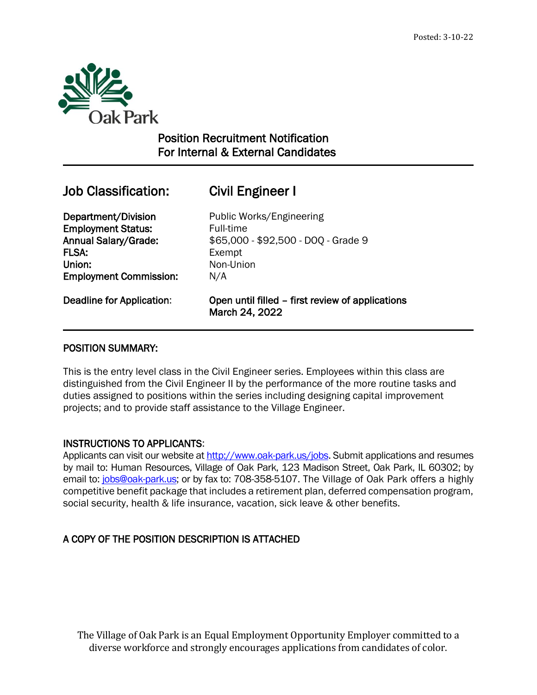

# Position Recruitment Notification For Internal & External Candidates

# Job Classification: Civil Engineer I

 $\overline{a}$ 

Department/Division Public Works/Engineering **Employment Status:** Full-time FLSA: Exempt Union: Non-Union Employment Commission: N/A

Annual Salary/Grade: \$65,000 - \$92,500 - DOQ - Grade 9

Deadline for Application: Open until filled – first review of applications March 24, 2022

# POSITION SUMMARY:

This is the entry level class in the Civil Engineer series. Employees within this class are distinguished from the Civil Engineer II by the performance of the more routine tasks and duties assigned to positions within the series including designing capital improvement projects; and to provide staff assistance to the Village Engineer.

# INSTRUCTIONS TO APPLICANTS:

Applicants can visit our website a[t http://www.oak-park.us/j](http://www.oak-park.us/)obs. Submit applications and resumes by mail to: Human Resources, Village of Oak Park, 123 Madison Street, Oak Park, IL 60302; by email to: [jobs@oak-park.us;](mailto:jobs@oak-park.us) or by fax to: 708-358-5107. The Village of Oak Park offers a highly competitive benefit package that includes a retirement plan, deferred compensation program, social security, health & life insurance, vacation, sick leave & other benefits.

# A COPY OF THE POSITION DESCRIPTION IS ATTACHED

The Village of Oak Park is an Equal Employment Opportunity Employer committed to a diverse workforce and strongly encourages applications from candidates of color.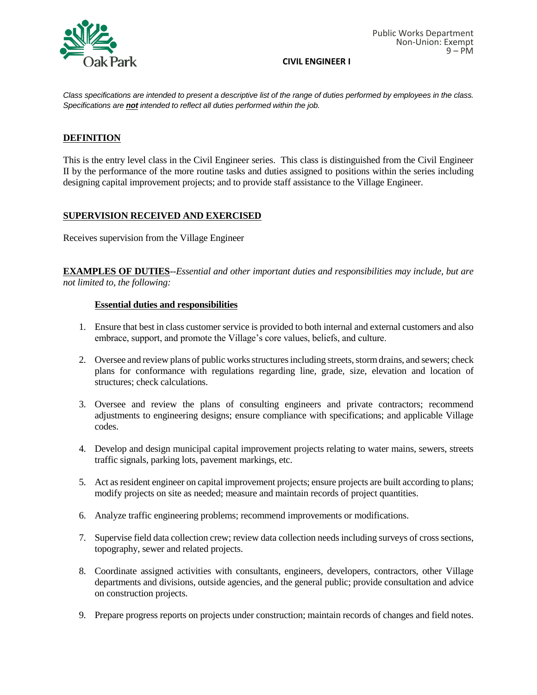

### **CIVIL ENGINEER I**

*Class specifications are intended to present a descriptive list of the range of duties performed by employees in the class. Specifications are not intended to reflect all duties performed within the job.*

# **DEFINITION**

This is the entry level class in the Civil Engineer series. This class is distinguished from the Civil Engineer II by the performance of the more routine tasks and duties assigned to positions within the series including designing capital improvement projects; and to provide staff assistance to the Village Engineer.

# **SUPERVISION RECEIVED AND EXERCISED**

Receives supervision from the Village Engineer

**EXAMPLES OF DUTIES**--*Essential and other important duties and responsibilities may include, but are not limited to, the following:*

# **Essential duties and responsibilities**

- 1. Ensure that best in class customer service is provided to both internal and external customers and also embrace, support, and promote the Village's core values, beliefs, and culture.
- 2. Oversee and review plans of public works structures including streets, storm drains, and sewers; check plans for conformance with regulations regarding line, grade, size, elevation and location of structures; check calculations.
- 3. Oversee and review the plans of consulting engineers and private contractors; recommend adjustments to engineering designs; ensure compliance with specifications; and applicable Village codes.
- 4. Develop and design municipal capital improvement projects relating to water mains, sewers, streets traffic signals, parking lots, pavement markings, etc.
- 5. Act as resident engineer on capital improvement projects; ensure projects are built according to plans; modify projects on site as needed; measure and maintain records of project quantities.
- 6. Analyze traffic engineering problems; recommend improvements or modifications.
- 7. Supervise field data collection crew; review data collection needs including surveys of cross sections, topography, sewer and related projects.
- 8. Coordinate assigned activities with consultants, engineers, developers, contractors, other Village departments and divisions, outside agencies, and the general public; provide consultation and advice on construction projects.
- 9. Prepare progress reports on projects under construction; maintain records of changes and field notes.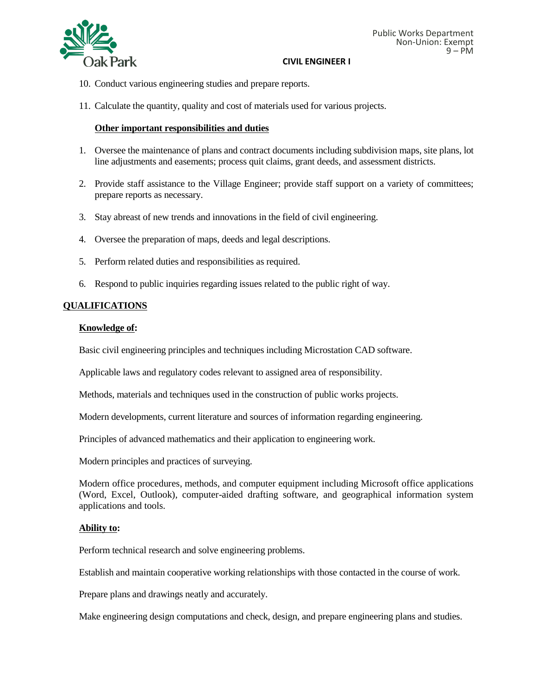

### Public Works Department Non-Union: Exempt  $9 - PM$

# **CIVIL ENGINEER I**

- 10. Conduct various engineering studies and prepare reports.
- 11. Calculate the quantity, quality and cost of materials used for various projects.

# **Other important responsibilities and duties**

- 1. Oversee the maintenance of plans and contract documents including subdivision maps, site plans, lot line adjustments and easements; process quit claims, grant deeds, and assessment districts.
- 2. Provide staff assistance to the Village Engineer; provide staff support on a variety of committees; prepare reports as necessary.
- 3. Stay abreast of new trends and innovations in the field of civil engineering.
- 4. Oversee the preparation of maps, deeds and legal descriptions.
- 5. Perform related duties and responsibilities as required.
- 6. Respond to public inquiries regarding issues related to the public right of way.

# **QUALIFICATIONS**

# **Knowledge of:**

Basic civil engineering principles and techniques including Microstation CAD software.

Applicable laws and regulatory codes relevant to assigned area of responsibility.

Methods, materials and techniques used in the construction of public works projects.

Modern developments, current literature and sources of information regarding engineering.

Principles of advanced mathematics and their application to engineering work.

Modern principles and practices of surveying.

Modern office procedures, methods, and computer equipment including Microsoft office applications (Word, Excel, Outlook), computer-aided drafting software, and geographical information system applications and tools.

# **Ability to:**

Perform technical research and solve engineering problems.

Establish and maintain cooperative working relationships with those contacted in the course of work.

Prepare plans and drawings neatly and accurately.

Make engineering design computations and check, design, and prepare engineering plans and studies.